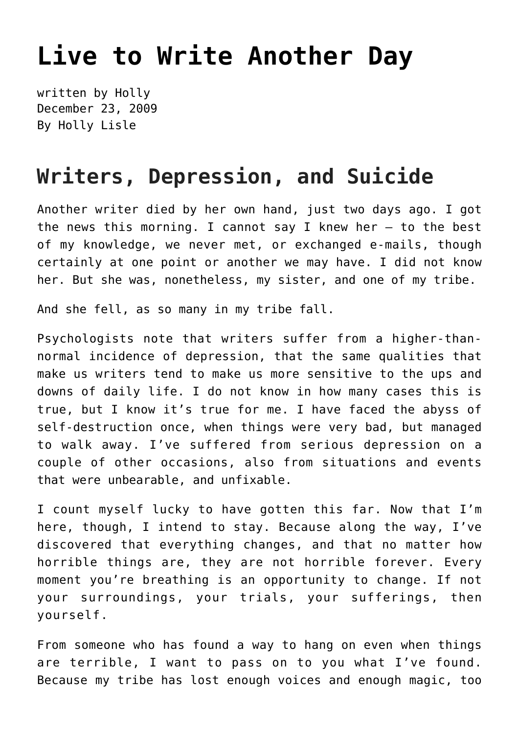## **[Live to Write Another Day](https://hollylisle.com/live-to-write-another-day/)**

written by Holly December 23, 2009 [By Holly Lisle](https://hollylisle.com)

## **Writers, Depression, and Suicide**

Another writer died by her own hand, just two days ago. I got the news this morning. I cannot say I knew her  $-$  to the best of my knowledge, we never met, or exchanged e-mails, though certainly at one point or another we may have. I did not know her. But she was, nonetheless, my sister, and one of my tribe.

And she fell, as so many in my tribe fall.

Psychologists note that writers suffer from a higher-thannormal incidence of depression, that the same qualities that make us writers tend to make us more sensitive to the ups and downs of daily life. I do not know in how many cases this is true, but I know it's true for me. I have faced the abyss of self-destruction once, when things were very bad, but managed to walk away. I've suffered from serious depression on a couple of other occasions, also from situations and events that were unbearable, and unfixable.

I count myself lucky to have gotten this far. Now that I'm here, though, I intend to stay. Because along the way, I've discovered that everything changes, and that no matter how horrible things are, they are not horrible forever. Every moment you're breathing is an opportunity to change. If not your surroundings, your trials, your sufferings, then yourself.

From someone who has found a way to hang on even when things are terrible, I want to pass on to you what I've found. Because my tribe has lost enough voices and enough magic, too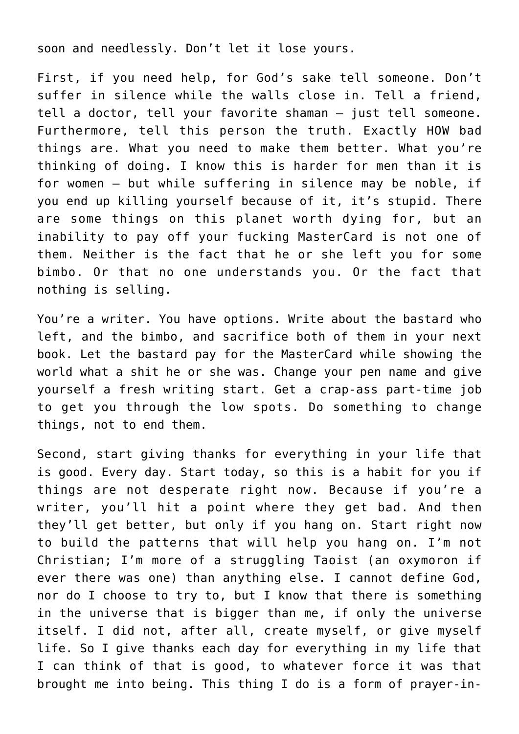soon and needlessly. Don't let it lose yours.

First, if you need help, for God's sake tell someone. Don't suffer in silence while the walls close in. Tell a friend, tell a doctor, tell your favorite shaman — just tell someone. Furthermore, tell this person the truth. Exactly HOW bad things are. What you need to make them better. What you're thinking of doing. I know this is harder for men than it is for women — but while suffering in silence may be noble, if you end up killing yourself because of it, it's stupid. There are some things on this planet worth dying for, but an inability to pay off your fucking MasterCard is not one of them. Neither is the fact that he or she left you for some bimbo. Or that no one understands you. Or the fact that nothing is selling.

You're a writer. You have options. Write about the bastard who left, and the bimbo, and sacrifice both of them in your next book. Let the bastard pay for the MasterCard while showing the world what a shit he or she was. Change your pen name and give yourself a fresh writing start. Get a crap-ass part-time job to get you through the low spots. Do something to change things, not to end them.

Second, start giving thanks for everything in your life that is good. Every day. Start today, so this is a habit for you if things are not desperate right now. Because if you're a writer, you'll hit a point where they get bad. And then they'll get better, but only if you hang on. Start right now to build the patterns that will help you hang on. I'm not Christian; I'm more of a struggling Taoist (an oxymoron if ever there was one) than anything else. I cannot define God, nor do I choose to try to, but I know that there is something in the universe that is bigger than me, if only the universe itself. I did not, after all, create myself, or give myself life. So I give thanks each day for everything in my life that I can think of that is good, to whatever force it was that brought me into being. This thing I do is a form of prayer-in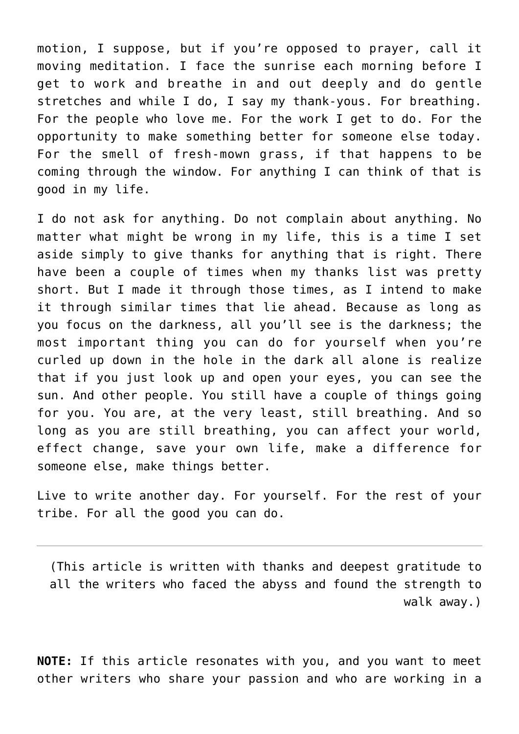motion, I suppose, but if you're opposed to prayer, call it moving meditation. I face the sunrise each morning before I get to work and breathe in and out deeply and do gentle stretches and while I do, I say my thank-yous. For breathing. For the people who love me. For the work I get to do. For the opportunity to make something better for someone else today. For the smell of fresh-mown grass, if that happens to be coming through the window. For anything I can think of that is good in my life.

I do not ask for anything. Do not complain about anything. No matter what might be wrong in my life, this is a time I set aside simply to give thanks for anything that is right. There have been a couple of times when my thanks list was pretty short. But I made it through those times, as I intend to make it through similar times that lie ahead. Because as long as you focus on the darkness, all you'll see is the darkness; the most important thing you can do for yourself when you're curled up down in the hole in the dark all alone is realize that if you just look up and open your eyes, you can see the sun. And other people. You still have a couple of things going for you. You are, at the very least, still breathing. And so long as you are still breathing, you can affect your world, effect change, save your own life, make a difference for someone else, make things better.

Live to write another day. For yourself. For the rest of your tribe. For all the good you can do.

(This article is written with thanks and deepest gratitude to all the writers who faced the abyss and found the strength to walk away.)

**NOTE:** If this article resonates with you, and you want to meet other writers who share your passion and who are working in a